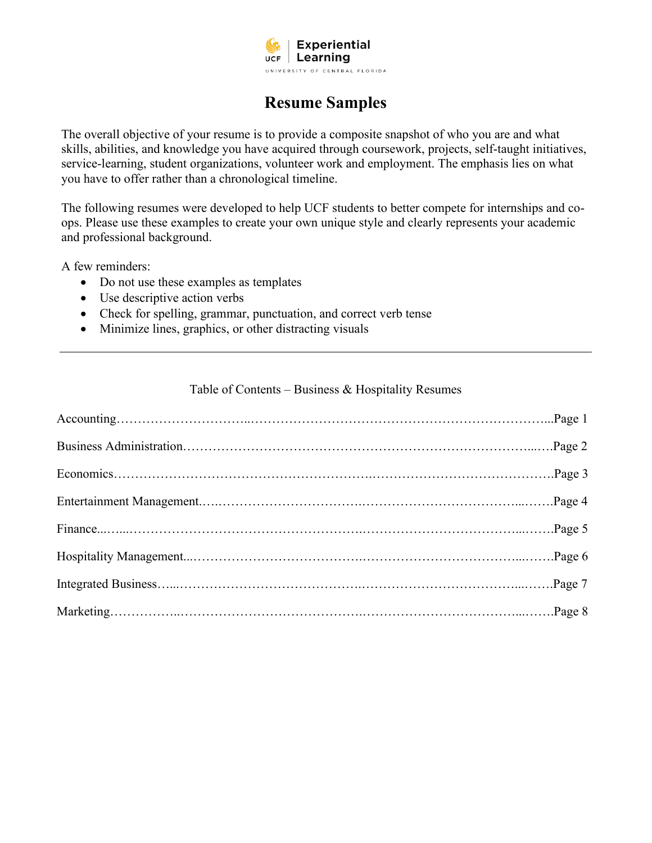

# **Resume Samples**

The overall objective of your resume is to provide a composite snapshot of who you are and what skills, abilities, and knowledge you have acquired through coursework, projects, self-taught initiatives, service-learning, student organizations, volunteer work and employment. The emphasis lies on what you have to offer rather than a chronological timeline.

The following resumes were developed to help UCF students to better compete for internships and coops. Please use these examples to create your own unique style and clearly represents your academic and professional background.

A few reminders:

- Do not use these examples as templates
- Use descriptive action verbs
- Check for spelling, grammar, punctuation, and correct verb tense
- Minimize lines, graphics, or other distracting visuals

### Table of Contents – Business & Hospitality Resumes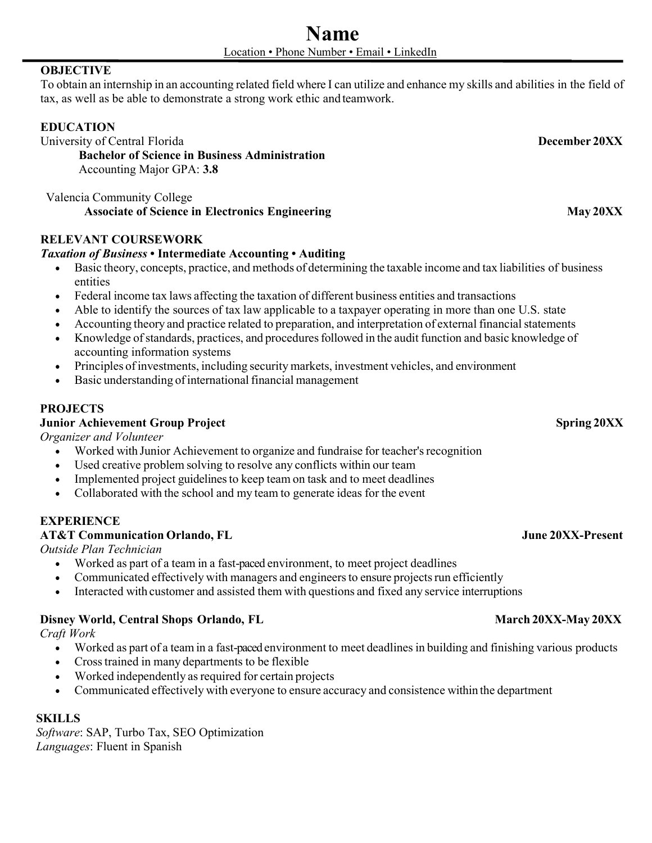# **OBJECTIVE**

To obtain an internship in an accounting related field where I can utilize and enhance my skills and abilities in the field of tax, as well as be able to demonstrate a strong work ethic and teamwork.

# **EDUCATION**

University of Central Florida **December 20XX**

**Bachelor of Science in Business Administration** Accounting Major GPA: **3.8**

Valencia Community College **Associate of Science in Electronics Engineering May 20XX**

## **RELEVANT COURSEWORK**

## *Taxation of Business* **• Intermediate Accounting • Auditing**

- Basic theory, concepts, practice, and methods of determining the taxable income and tax liabilities of business entities
- Federal income tax laws affecting the taxation of different business entities and transactions
- Able to identify the sources of tax law applicable to a taxpayer operating in more than one U.S. state
- Accounting theory and practice related to preparation, and interpretation of external financial statements
- Knowledge of standards, practices, and procedures followed in the audit function and basic knowledge of accounting information systems
- Principles of investments, including security markets, investment vehicles, and environment
- Basic understanding of international financial management

## **PROJECTS**

### **Junior Achievement Group Project Spring 20XX**

*Organizer and Volunteer*

- Worked with Junior Achievement to organize and fundraise for teacher's recognition
- Used creative problem solving to resolve any conflicts within our team
- Implemented project guidelines to keep team on task and to meet deadlines
- Collaborated with the school and my team to generate ideas for the event

# **EXPERIENCE**

## **AT&T Communication Orlando, FL June 20XX-Present**

*Outside Plan Technician*

- Worked as part of a team in a fast-paced environment, to meet project deadlines
- Communicated effectively with managers and engineers to ensure projects run efficiently
- Interacted with customer and assisted them with questions and fixed any service interruptions

### **Disney World, Central Shops Orlando, FL** March 20XX-May 20XX

*Craft Work*

- Worked as part of a team in a fast-paced environment to meet deadlines in building and finishing various products
- Crosstrained in many departments to be flexible
- Worked independently as required for certain projects
- Communicated effectively with everyone to ensure accuracy and consistence within the department

### **SKILLS**

*Software*: SAP, Turbo Tax, SEO Optimization *Languages*: Fluent in Spanish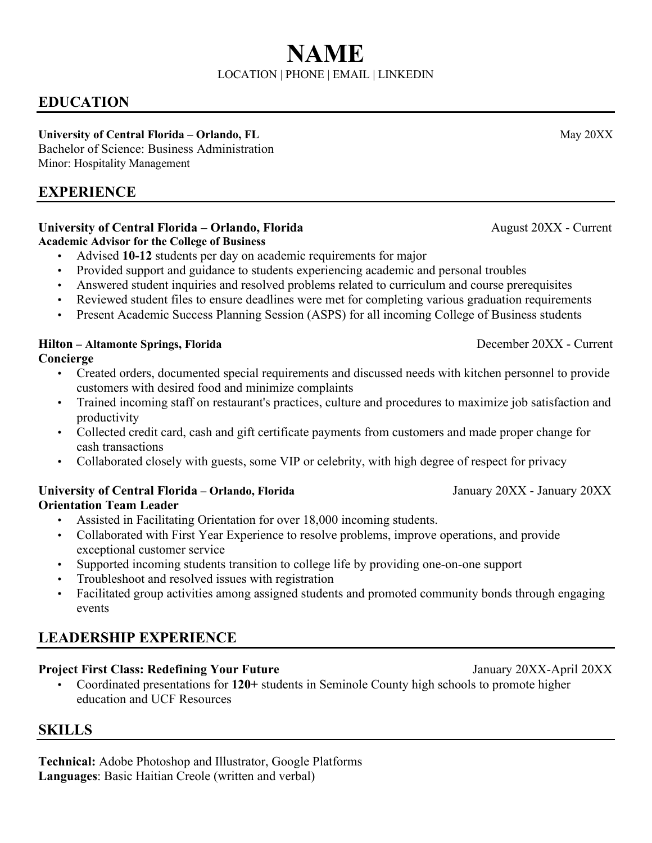# **EDUCATION**

# University of Central Florida – Orlando, FL May 20XX

Bachelor of Science: Business Administration Minor: Hospitality Management

# **EXPERIENCE**

# **University of Central Florida – Orlando, Florida August 20XX - Current**

**Academic Advisor for the College of Business**

- Advised **10-12** students per day on academic requirements for major
- Provided support and guidance to students experiencing academic and personal troubles
- Answered student inquiries and resolved problems related to curriculum and course prerequisites
- Reviewed student files to ensure deadlines were met for completing various graduation requirements
- Present Academic Success Planning Session (ASPS) for all incoming College of Business students

# **Hilton – Altamonte Springs, Florida** December 20XX - Current

# **Concierge**

- Created orders, documented special requirements and discussed needs with kitchen personnel to provide customers with desired food and minimize complaints
- Trained incoming staff on restaurant's practices, culture and procedures to maximize job satisfaction and productivity
- Collected credit card, cash and gift certificate payments from customers and made proper change for cash transactions
- Collaborated closely with guests, some VIP or celebrity, with high degree of respect for privacy

# **University of Central Florida – Orlando, Florida** January 20XX - January 20XX **Orientation Team Leader**

- Assisted in Facilitating Orientation for over 18,000 incoming students.
- Collaborated with First Year Experience to resolve problems, improve operations, and provide exceptional customer service
- Supported incoming students transition to college life by providing one-on-one support
- Troubleshoot and resolved issues with registration
- Facilitated group activities among assigned students and promoted community bonds through engaging events

# **LEADERSHIP EXPERIENCE**

# **Project First Class: Redefining Your Future** January 20XX-April 20XX

• Coordinated presentations for **120+** students in Seminole County high schools to promote higher education and UCF Resources

# **SKILLS**

**Technical:** Adobe Photoshop and Illustrator, Google Platforms **Languages**: Basic Haitian Creole (written and verbal)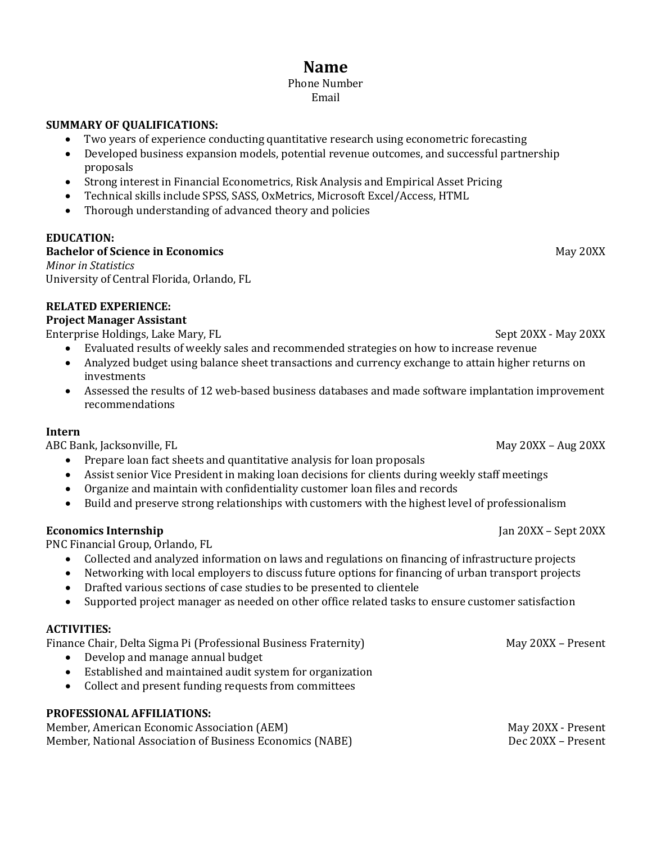# **Name**

#### Phone Number Email

#### **SUMMARY OF QUALIFICATIONS:**

- Two years of experience conducting quantitative research using econometric forecasting
- Developed business expansion models, potential revenue outcomes, and successful partnership proposals
- Strong interest in Financial Econometrics, Risk Analysis and Empirical Asset Pricing
- Technical skills include SPSS, SASS, OxMetrics, Microsoft Excel/Access, HTML
- Thorough understanding of advanced theory and policies

#### **EDUCATION:**

#### **Bachelor of Science in Economics** May 20XX

*Minor in Statistics* University of Central Florida, Orlando, FL

#### **RELATED EXPERIENCE:**

#### **Project Manager Assistant**

Enterprise Holdings, Lake Mary, FL Sept 20XX - May 20XX - May 20XX

- Evaluated results of weekly sales and recommended strategies on how to increase revenue
- Analyzed budget using balance sheet transactions and currency exchange to attain higher returns on investments
- Assessed the results of 12 web-based business databases and made software implantation improvement recommendations

#### **Intern**

ABC Bank, Jacksonville, FL May 20XX – Aug 20XX – Aug 20XX – Aug 20XX – Aug 20XX – Aug 20XX – Aug 20XX – Aug 20XX

- Prepare loan fact sheets and quantitative analysis for loan proposals
- Assist senior Vice President in making loan decisions for clients during weekly staff meetings
- Organize and maintain with confidentiality customer loan files and records
- Build and preserve strong relationships with customers with the highest level of professionalism

### **Economics Internship** Jan 20XX – Sept 20XX – Sept 20XX

PNC Financial Group, Orlando, FL

- Collected and analyzed information on laws and regulations on financing of infrastructure projects
- Networking with local employers to discuss future options for financing of urban transport projects
- Drafted various sections of case studies to be presented to clientele<br>• Supported project manager as needed on other office related tasks t
- Supported project manager as needed on other office related tasks to ensure customer satisfaction

### **ACTIVITIES:**

Finance Chair, Delta Sigma Pi (Professional Business Fraternity) May 20XX – Present

- Develop and manage annual budget
- Established and maintained audit system for organization
- Collect and present funding requests from committees

### **PROFESSIONAL AFFILIATIONS:**

Member, American Economic Association (AEM)<br>Member, National Association of Business Economics (NABE) Dec 20XX - Present Member, National Association of Business Economics (NABE)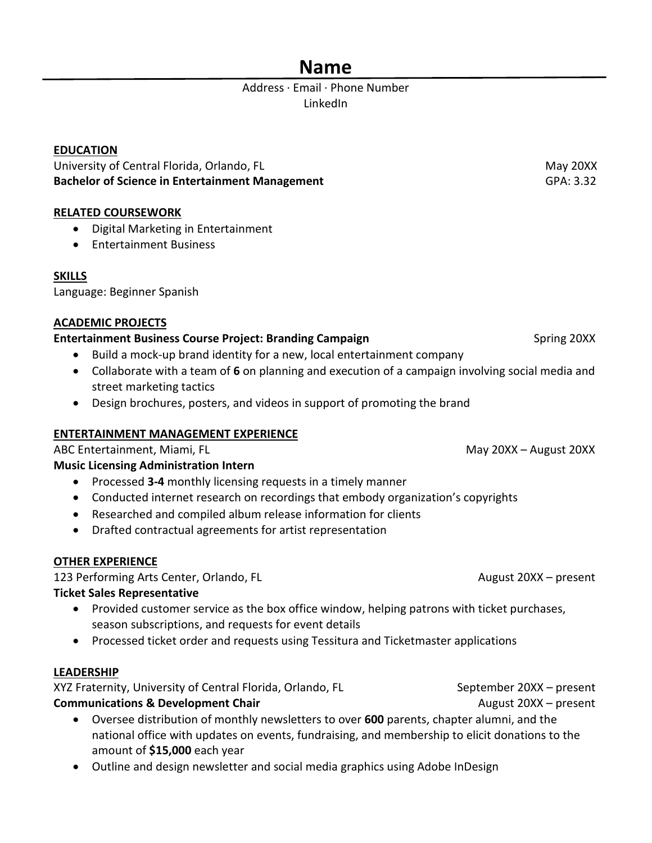# **Name**

# Address · Email · Phone Number LinkedIn

# **EDUCATION**

University of Central Florida, Orlando, FL May 20XX Controlled a state of the May 20XX May 20XX **Bachelor of Science in Entertainment Management** GPA: 3.32

# **RELATED COURSEWORK**

- Digital Marketing in Entertainment
- Entertainment Business

# **SKILLS**

Language: Beginner Spanish

## **ACADEMIC PROJECTS**

# **Entertainment Business Course Project: Branding Campaign Spring 20XX Spring 20XX**

- Build a mock-up brand identity for a new, local entertainment company
- Collaborate with a team of **6** on planning and execution of a campaign involving social media and street marketing tactics
- Design brochures, posters, and videos in support of promoting the brand

# **ENTERTAINMENT MANAGEMENT EXPERIENCE**

ABC Entertainment, Miami, FL May 20XX – August 20XX – August 20XX

# **Music Licensing Administration Intern**

- Processed **3-4** monthly licensing requests in a timely manner
- Conducted internet research on recordings that embody organization's copyrights
- Researched and compiled album release information for clients
- Drafted contractual agreements for artist representation

# **OTHER EXPERIENCE**

123 Performing Arts Center, Orlando, FL August 20XX – present

# **Ticket Sales Representative**

- Provided customer service as the box office window, helping patrons with ticket purchases, season subscriptions, and requests for event details
- Processed ticket order and requests using Tessitura and Ticketmaster applications

# **LEADERSHIP**

XYZ Fraternity, University of Central Florida, Orlando, FL September 20XX – present **Communications & Development Chair** August 20XX – present

- Oversee distribution of monthly newsletters to over **600** parents, chapter alumni, and the national office with updates on events, fundraising, and membership to elicit donations to the amount of **\$15,000** each year
- Outline and design newsletter and social media graphics using Adobe InDesign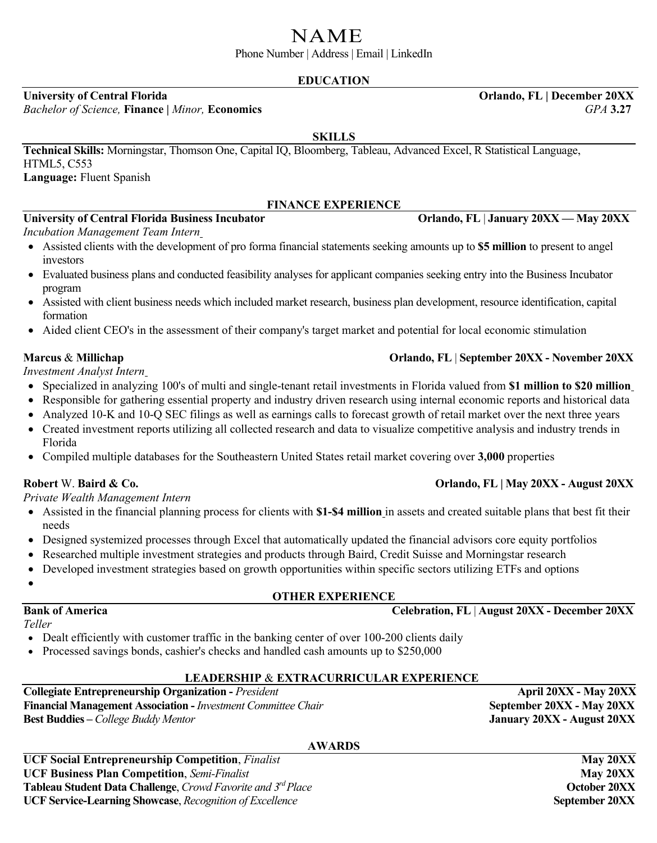# NAME

Phone Number | Address | Email | LinkedIn

# **EDUCATION**

*Bachelor of Science,* **Finance |** *Minor,* **Economics** *GPA* **3.27**

### **SKILLS**

**Technical Skills:** Morningstar, Thomson One, Capital IQ, Bloomberg, Tableau, Advanced Excel, R Statistical Language, HTML5, C553 **Language:** Fluent Spanish

### **FINANCE EXPERIENCE**

# **University of Central Florida Business Incubator Orlando, FL** | **January 20XX — May 20XX**

*Incubation Management Team Intern*

- Assisted clients with the development of pro forma financial statements seeking amounts up to **\$5 million** to present to angel investors
- Evaluated business plans and conducted feasibility analyses for applicant companies seeking entry into the Business Incubator program
- Assisted with client business needs which included market research, business plan development, resource identification, capital formation
- Aided client CEO's in the assessment of their company's target market and potential for local economic stimulation

*Investment Analyst Intern*

- Specialized in analyzing 100's of multi and single-tenant retail investments in Florida valued from **\$1 million to \$20 million**
- Responsible for gathering essential property and industry driven research using internal economic reports and historical data
- Analyzed 10-K and 10-Q SEC filings as well as earnings calls to forecast growth of retail market over the next three years
- Created investment reports utilizing all collected research and data to visualize competitive analysis and industry trends in Florida
- Compiled multiple databases for the Southeastern United States retail market covering over **3,000** properties

*Private Wealth Management Intern* 

- Assisted in the financial planning process for clients with **\$1-\$4 million** in assets and created suitable plans that best fit their needs
- Designed systemized processes through Excel that automatically updated the financial advisors core equity portfolios
- Researched multiple investment strategies and products through Baird, Credit Suisse and Morningstar research
- Developed investment strategies based on growth opportunities within specific sectors utilizing ETFs and options
- •

*Teller*

# **OTHER EXPERIENCE**

**Bank of America Celebration, FL** | **August 20XX - December 20XX**

- Dealt efficiently with customer traffic in the banking center of over 100-200 clients daily
- Processed savings bonds, cashier's checks and handled cash amounts up to \$250,000

### **LEADERSHIP** & **EXTRACURRICULAR EXPERIENCE**

**Collegiate Entrepreneurship Organization -** *President* **April 20XX - May 20XX** Financial Management Association - *Investment Committee Chair* **September 20XX - May 20XX Best Buddies –** *College Buddy Mentor* **January 20XX - August 20XX**

# **AWARDS**

**UCF Social Entrepreneurship Competition**, *Finalist* **May 20XX May 20XX UCF Business Plan Competition**, *Semi-Finalist May 20XX* **Tableau Student Data Challenge**, *Crowd Favorite and 3<sup>rd</sup> Place* **Conservery** *Costoper 20XX* **UCF Service-Learning Showcase**, *Recognition of Excellence September 20XX* 

# **Marcus** & **Millichap Orlando, FL** | **September 20XX - November 20XX**

# **Robert** W. **Baird & Co. Orlando, FL | May 20XX - August 20XX**

**University of Central Florida Orlando, FL | December 20XX**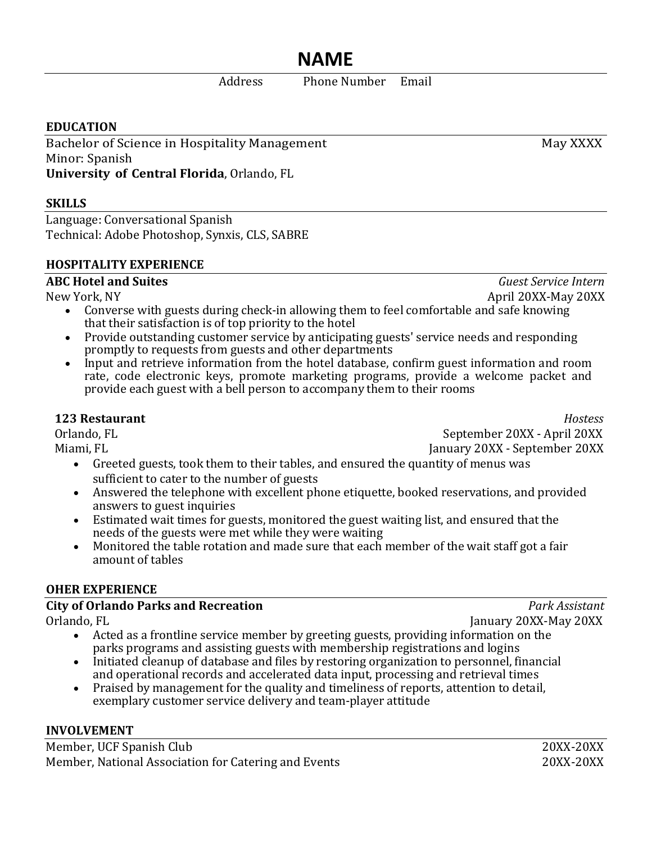# **NAME**

Address Phone Number Email

# **EDUCATION**

Bachelor of Science in Hospitality Management May XXXX Minor: Spanish **University of Central Florida**, Orlando, FL

# **SKILLS**

Language: Conversational Spanish Technical: Adobe Photoshop, Synxis, CLS, SABRE

## **HOSPITALITY EXPERIENCE**

# **ABC Hotel and Suites** *Guest Service Intern*

- New York, NY April 20XX-May 20XX • Converse with guests during check-in allowing them to feel comfortable and safe knowing that their satisfaction is of top priority to the hotel
	- Provide outstanding customer service by anticipating guests' service needs and responding promptly to requests from guests and other departments
	- Input and retrieve information from the hotel database, confirm guest information and room rate, code electronic keys, promote marketing programs, provide a welcome packet and provide each guest with a bell person to accompany them to their rooms

**123 Restaurant** *Hostess* Orlando, FL<br>Miami. FL September 20XX - April 20XX<br>Miami. FL September 20XX - September 20XX January 20XX - September 20XX

- Greeted guests, took them to their tables, and ensured the quantity of menus was sufficient to cater to the number of guests
- Answered the telephone with excellent phone etiquette, booked reservations, and provided answers to guest inquiries
- Estimated wait times for guests, monitored the guest waiting list, and ensured that the needs of the guests were met while they were waiting
- Monitored the table rotation and made sure that each member of the wait staff got a fair amount of tables

# **OHER EXPERIENCE**

# **City of Orlando Parks and Recreation** *Park Assistant*

- Orlando, FL January 20XX-May 20XX • Acted as a frontline service member by greeting guests, providing information on the parks programs and assisting guests with membership registrations and logins
	- Initiated cleanup of database and files by restoring organization to personnel, financial and operational records and accelerated data input, processing and retrieval times
	- Praised by management for the quality and timeliness of reports, attention to detail, exemplary customer service delivery and team-player attitude

# **INVOLVEMENT**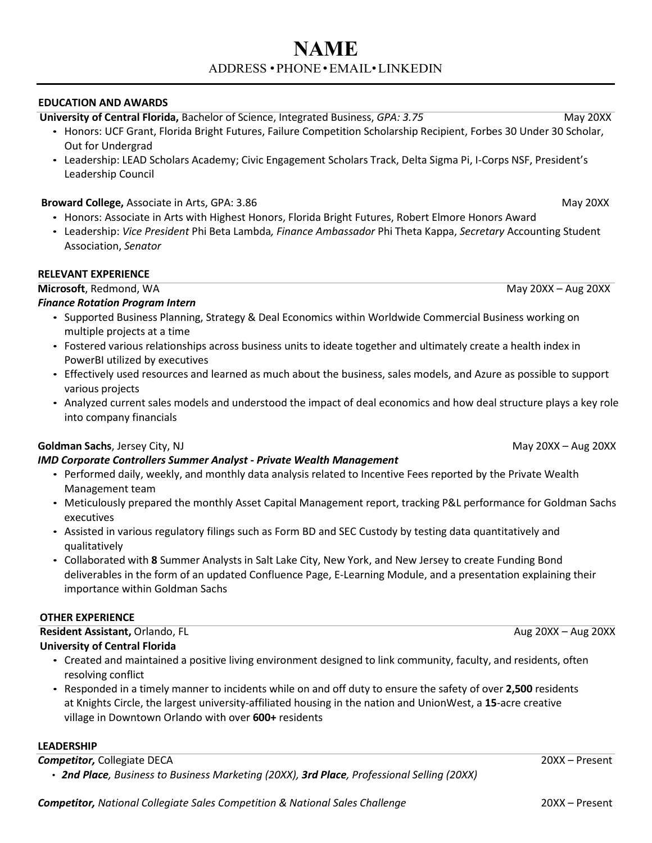# **NAME** ADDRESS •PHONE•[EMAIL](mailto:JessicaRLupo@gmail.com)•[LINKEDIN](mailto:JessicaRLupo@gmail.com)

#### **EDUCATION AND AWARDS**

*Competitor, National Collegiate Sales Competition & National Sales Challenge* 20XX – Present

**University of Central Florida,** Bachelor of Science, Integrated Business, *GPA: 3.75* May 20XX

- Honors: UCF Grant, Florida Bright Futures, Failure Competition Scholarship Recipient, Forbes 30 Under 30 Scholar, Out for Undergrad
- Leadership: LEAD Scholars Academy; Civic Engagement Scholars Track, Delta Sigma Pi, I-Corps NSF, President's Leadership Council

#### **Broward College,** Associate in Arts, GPA: 3.86 May 20XX

- Honors: Associate in Arts with Highest Honors, Florida Bright Futures, Robert Elmore Honors Award
- Leadership: *Vice President* Phi Beta Lambda*, Finance Ambassador* Phi Theta Kappa, *Secretary* Accounting Student Association, *Senator*

#### **RELEVANT EXPERIENCE**

**Microsoft**, Redmond, WA May 20XX – Aug 20XX – Aug 20XX – Aug 20XX – Aug 20XX – Aug 20XX – Aug 20XX – Aug 20XX

#### *Finance Rotation Program Intern*

- Supported Business Planning, Strategy & Deal Economics within Worldwide Commercial Business working on multiple projects at a time
- Fostered various relationships across business units to ideate together and ultimately create a health index in PowerBI utilized by executives
- Effectively used resources and learned as much about the business, sales models, and Azure as possible to support various projects
- Analyzed current sales models and understood the impact of deal economics and how deal structure plays a key role into company financials

### **Goldman Sachs**, Jersey City, NJ May 20XX – Aug 20XX – Aug 20XX – Aug 20XX – Aug 20XX – Aug 20XX – Aug 20XX – Aug 20XX

### *IMD Corporate Controllers Summer Analyst - Private Wealth Management*

- Performed daily, weekly, and monthly data analysis related to Incentive Fees reported by the Private Wealth Management team
- Meticulously prepared the monthly Asset Capital Management report, tracking P&L performance for Goldman Sachs executives
- Assisted in various regulatory filings such as Form BD and SEC Custody by testing data quantitatively and qualitatively
- Collaborated with **8** Summer Analysts in Salt Lake City, New York, and New Jersey to create Funding Bond deliverables in the form of an updated Confluence Page, E-Learning Module, and a presentation explaining their importance within Goldman Sachs

#### **OTHER EXPERIENCE**

# **Resident Assistant, Orlando, FL <b>Aug 20XX** – Aug 20XX – Aug 20XX – Aug 20XX – Aug 20XX

- **University of Central Florida**
	- Created and maintained a positive living environment designed to link community, faculty, and residents, often resolving conflict
	- Responded in a timely manner to incidents while on and off duty to ensure the safety of over **2,500** residents at Knights Circle, the largest university-affiliated housing in the nation and UnionWest, a **15**-acre creative village in Downtown Orlando with over **600+** residents

#### **LEADERSHIP**

**Competitor, Collegiate DECA** 20XX – Present

• *2nd Place, Business to Business Marketing (20XX), 3rd Place, Professional Selling (20XX)*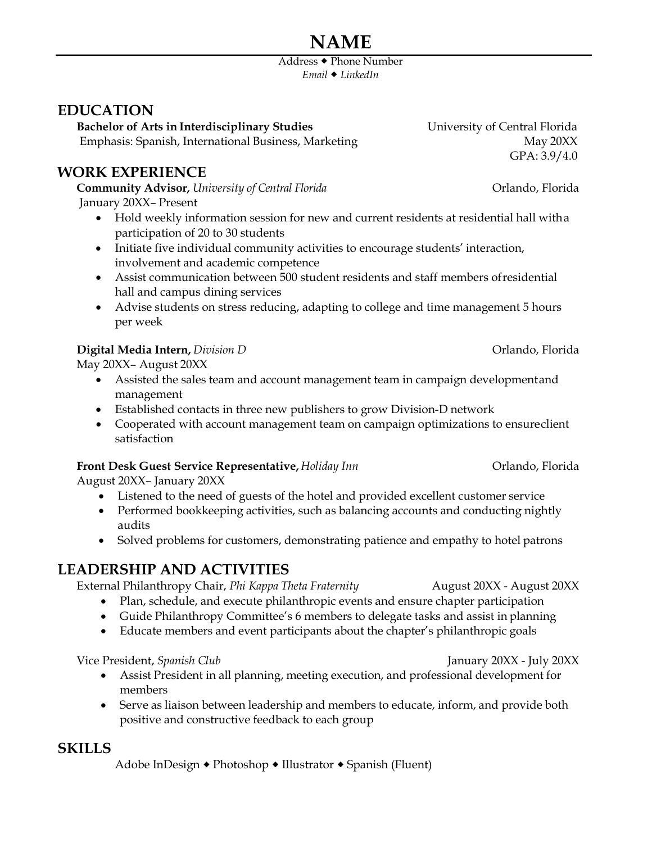# **NAME**

Address Phone Number *Email [LinkedIn](http://www.linkedin.com/in/mizzoustudent)*

# **EDUCATION**

**Bachelor of Arts in Interdisciplinary Studies** University of Central Florida Emphasis: Spanish, International Business, Marketing May 20XX

# **WORK EXPERIENCE**

**Community Advisor,** *University of Central Florida* Orlando, Florida January 20XX– Present

- Hold weekly information session for new and current residents at residential hall witha participation of 20 to 30 students
- Initiate five individual community activities to encourage students' interaction, involvement and academic competence
- Assist communication between 500 student residents and staff members ofresidential hall and campus dining services
- Advise students on stress reducing, adapting to college and time management 5 hours per week

## **Digital Media Intern,** *Division D* Orlando, Florida

May 20XX– August 20XX

- Assisted the sales team and account management team in campaign developmentand management
- Established contacts in three new publishers to grow Division-D network
- Cooperated with account management team on campaign optimizations to ensureclient satisfaction

# **Front Desk Guest Service Representative,** *Holiday Inn* **Constantive,** *Orlando***,** *Florida*

August 20XX– January 20XX

- Listened to the need of guests of the hotel and provided excellent customer service
- Performed bookkeeping activities, such as balancing accounts and conducting nightly audits
- Solved problems for customers, demonstrating patience and empathy to hotel patrons

# **LEADERSHIP AND ACTIVITIES**

External Philanthropy Chair, *Phi Kappa Theta Fraternity* August 20XX - August 20XX

- Plan, schedule, and execute philanthropic events and ensure chapter participation
- Guide Philanthropy Committee's 6 members to delegate tasks and assist in planning
- Educate members and event participants about the chapter's philanthropic goals

Vice President, *Spanish Club* January 20XX - July 20XX

- Assist President in all planning, meeting execution, and professional development for members
- Serve as liaison between leadership and members to educate, inform, and provide both positive and constructive feedback to each group

# **SKILLS**

Adobe InDesign • Photoshop • Illustrator • Spanish (Fluent)

GPA: 3.9/4.0